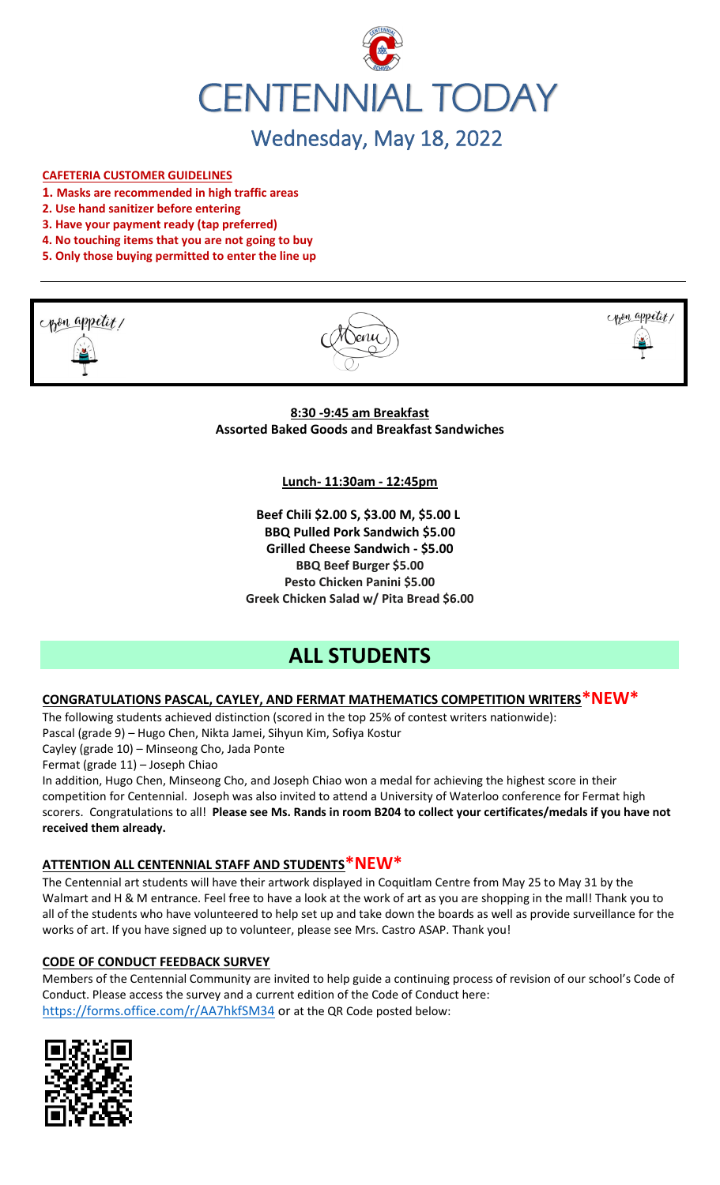

# Wednesday, May 18, 2022

#### **CAFETERIA CUSTOMER GUIDELINES**

- **1. Masks are recommended in high traffic areas**
- **2. Use hand sanitizer before entering**
- **3. Have your payment ready (tap preferred)**
- **4. No touching items that you are not going to buy**
- **5. Only those buying permitted to enter the line up**







**8:30 -9:45 am Breakfast Assorted Baked Goods and Breakfast Sandwiches**

**Lunch- 11:30am - 12:45pm**

**Beef Chili \$2.00 S, \$3.00 M, \$5.00 L BBQ Pulled Pork Sandwich \$5.00 Grilled Cheese Sandwich - \$5.00 BBQ Beef Burger \$5.00 Pesto Chicken Panini \$5.00 Greek Chicken Salad w/ Pita Bread \$6.00**

## **ALL STUDENTS**

### **CONGRATULATIONS PASCAL, CAYLEY, AND FERMAT MATHEMATICS COMPETITION WRITERS\*NEW\***

The following students achieved distinction (scored in the top 25% of contest writers nationwide): Pascal (grade 9) – Hugo Chen, Nikta Jamei, Sihyun Kim, Sofiya Kostur

Cayley (grade 10) – Minseong Cho, Jada Ponte

Fermat (grade 11) – Joseph Chiao

In addition, Hugo Chen, Minseong Cho, and Joseph Chiao won a medal for achieving the highest score in their competition for Centennial. Joseph was also invited to attend a University of Waterloo conference for Fermat high scorers. Congratulations to all! **Please see Ms. Rands in room B204 to collect your certificates/medals if you have not received them already.**

#### **ATTENTION ALL CENTENNIAL STAFF AND STUDENTS\*NEW\***

The Centennial art students will have their artwork displayed in Coquitlam Centre from May 25 to May 31 by the Walmart and H & M entrance. Feel free to have a look at the work of art as you are shopping in the mall! Thank you to all of the students who have volunteered to help set up and take down the boards as well as provide surveillance for the works of art. If you have signed up to volunteer, please see Mrs. Castro ASAP. Thank you!

#### **CODE OF CONDUCT FEEDBACK SURVEY**

Members of the Centennial Community are invited to help guide a continuing process of revision of our school's Code of Conduct. Please access the survey and a current edition of the Code of Conduct here: <https://forms.office.com/r/AA7hkfSM34> or at the QR Code posted below:

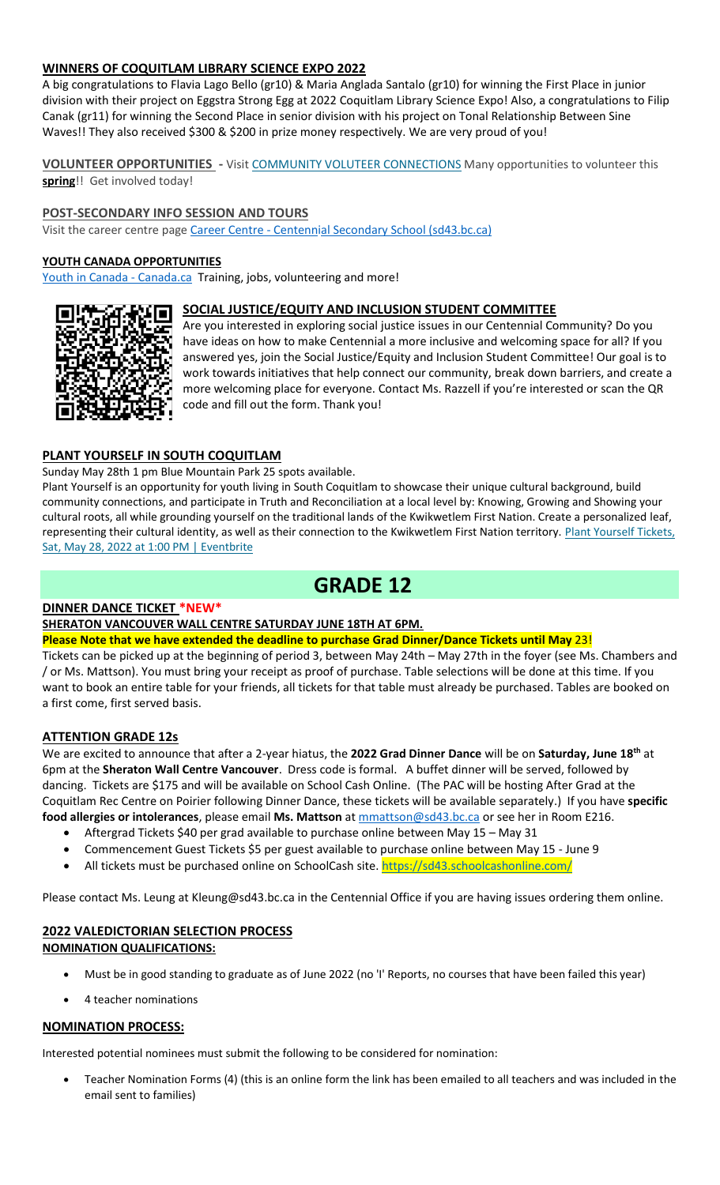#### **WINNERS OF COQUITLAM LIBRARY SCIENCE EXPO 2022**

A big congratulations to Flavia Lago Bello (gr10) & Maria Anglada Santalo (gr10) for winning the First Place in junior division with their project on Eggstra Strong Egg at 2022 Coquitlam Library Science Expo! Also, a congratulations to Filip Canak (gr11) for winning the Second Place in senior division with his project on Tonal Relationship Between Sine Waves!! They also received \$300 & \$200 in prize money respectively. We are very proud of you!

**VOLUNTEER OPPORTUNITIES -** Visit [COMMUNITY VOLUTEER CONNECTIONS](http://cvc.bcvolunteer.ca/?utm_medium=email&_hsmi=212053802&_hsenc=p2ANqtz-9C8dpzKk2EMx5WaRlcu1rFP2YEXC5VAFvsOvn5_wxMc57Cdw3Mh5OQLY2UlP06JDrovG2rZ7VwFdjY3Ko2dQzZDqra3w&utm_content=212053802&utm_source=hs_email) Many opportunities to volunteer this **spring**!! Get involved today!

#### **POST-SECONDARY INFO SESSION AND TOURS**

Visit the career centre page Career Centre - [Centennial Secondary School \(sd43.bc.ca\)](https://www.sd43.bc.ca/school/centennial/ProgramsServices/CareerCentre/postsecondary/Pages/default.aspx#/=)

#### **YOUTH CANADA OPPORTUNITIES**

[Youth in Canada -](https://www.canada.ca/en/services/youth.html) Canada.ca Training, jobs, volunteering and more!

#### **SOCIAL JUSTICE/EQUITY AND INCLUSION STUDENT COMMITTEE**



Are you interested in exploring social justice issues in our Centennial Community? Do you have ideas on how to make Centennial a more inclusive and welcoming space for all? If you answered yes, join the Social Justice/Equity and Inclusion Student Committee! Our goal is to work towards initiatives that help connect our community, break down barriers, and create a more welcoming place for everyone. Contact Ms. Razzell if you're interested or scan the QR code and fill out the form. Thank you!

#### **PLANT YOURSELF IN SOUTH COQUITLAM**

Sunday May 28th 1 pm Blue Mountain Park 25 spots available.

Plant Yourself is an opportunity for youth living in South Coquitlam to showcase their unique cultural background, build community connections, and participate in Truth and Reconciliation at a local level by: Knowing, Growing and Showing your cultural roots, all while grounding yourself on the traditional lands of the Kwikwetlem First Nation. Create a personalized leaf, representing their cultural identity, as well as their connection to the Kwikwetlem First Nation territory. Plant Yourself Tickets, [Sat, May 28, 2022 at 1:00 PM | Eventbrite](https://www.eventbrite.ca/e/plant-yourself-tickets-335607159047)

## **GRADE 12**

#### **DINNER DANCE TICKET \*NEW\***

#### **SHERATON VANCOUVER WALL CENTRE SATURDAY JUNE 18TH AT 6PM.**

**Please Note that we have extended the deadline to purchase Grad Dinner/Dance Tickets until May** 23!

Tickets can be picked up at the beginning of period 3, between May 24th – May 27th in the foyer (see Ms. Chambers and / or Ms. Mattson). You must bring your receipt as proof of purchase. Table selections will be done at this time. If you want to book an entire table for your friends, all tickets for that table must already be purchased. Tables are booked on a first come, first served basis.

#### **ATTENTION GRADE 12s**

We are excited to announce that after a 2-year hiatus, the **2022 Grad Dinner Dance** will be on **Saturday, June 18th** at 6pm at the **Sheraton Wall Centre Vancouver**. Dress code is formal. A buffet dinner will be served, followed by dancing. Tickets are \$175 and will be available on School Cash Online. (The PAC will be hosting After Grad at the Coquitlam Rec Centre on Poirier following Dinner Dance, these tickets will be available separately.) If you have **specific food allergies or intolerances**, please email **Ms. Mattson** at [mmattson@sd43.bc.ca](mailto:mmattson@sd43.bc.ca) or see her in Room E216.

- Aftergrad Tickets \$40 per grad available to purchase online between May 15 May 31
- Commencement Guest Tickets \$5 per guest available to purchase online between May 15 June 9
- All tickets must be purchased online on SchoolCash site. <https://sd43.schoolcashonline.com/>

Please contact Ms. Leung at [Kleung@sd43.bc.ca](mailto:Kleung@sd43.bc.ca) in the Centennial Office if you are having issues ordering them online.

#### **2022 VALEDICTORIAN SELECTION PROCESS NOMINATION QUALIFICATIONS:**

- Must be in good standing to graduate as of June 2022 (no 'I' Reports, no courses that have been failed this year)
- 4 teacher nominations

#### **NOMINATION PROCESS:**

Interested potential nominees must submit the following to be considered for nomination:

• Teacher Nomination Forms (4) (this is an online form the link has been emailed to all teachers and was included in the email sent to families)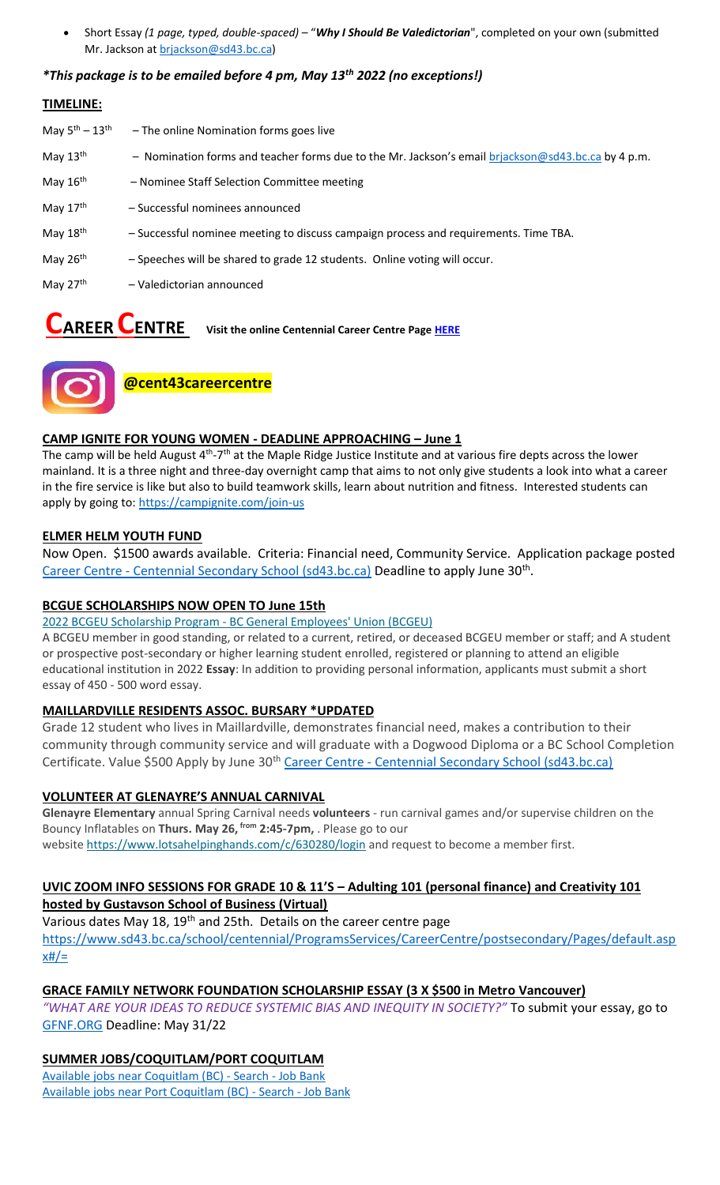• Short Essay *(1 page, typed, double-spaced)* – "*Why I Should Be Valedictorian*", completed on your own (submitted Mr. Jackson at [brjackson@sd43.bc.ca\)](mailto:bking@sd43.bc.ca)

#### *\*This package is to be emailed before 4 pm, May 13th 2022 (no exceptions!)*

#### **TIMELINE:**

| May $5^{\text{th}} - 13^{\text{th}}$ | - The online Nomination forms goes live                                                            |
|--------------------------------------|----------------------------------------------------------------------------------------------------|
| May 13th                             | - Nomination forms and teacher forms due to the Mr. Jackson's email brjackson@sd43.bc.ca by 4 p.m. |
| May 16th                             | - Nominee Staff Selection Committee meeting                                                        |
| May $17th$                           | - Successful nominees announced                                                                    |
| May 18th                             | - Successful nominee meeting to discuss campaign process and requirements. Time TBA.               |
| May 26th                             | - Speeches will be shared to grade 12 students. Online voting will occur.                          |
| May 27th                             | - Valedictorian announced                                                                          |

**CAREER CENTRE Visit the online Centennial Career Centre Pag[e HERE](https://www.sd43.bc.ca/school/centennial/ProgramsServices/CareerCentre/experiences/Pages/default.aspx#/=)**



**@cent43careercentre** 

#### **CAMP IGNITE FOR YOUNG WOMEN - DEADLINE APPROACHING – June 1**

The camp will be held August 4<sup>th</sup>-7<sup>th</sup> at the Maple Ridge Justice Institute and at various fire depts across the lower mainland. It is a three night and three-day overnight camp that aims to not only give students a look into what a career in the fire service is like but also to build teamwork skills, learn about nutrition and fitness. Interested students can apply by going to:<https://campignite.com/join-us>

#### **ELMER HELM YOUTH FUND**

Now Open. \$1500 awards available. Criteria: Financial need, Community Service. Application package posted Career Centre - [Centennial Secondary School \(sd43.bc.ca\)](https://www.sd43.bc.ca/school/centennial/ProgramsServices/CareerCentre/financeawards/Pages/default.aspx?InitialTabId=Ribbon%2ERead&VisibilityContext=WSSTabPersistence#/=#InplviewHash02f87063-69d3-4710-8d10-63ddea64e857=) Deadline to apply June 30<sup>th</sup>.

#### **BCGUE SCHOLARSHIPS NOW OPEN TO June 15th**

#### 2022 BCGEU Scholarship Program - [BC General Employees' Union \(BCGEU\)](https://www.bcgeu.ca/2022_bcgeu_scholarship_program)

A BCGEU member in good standing, or related to a current, retired, or deceased BCGEU member or staff; and A student or prospective post-secondary or higher learning student enrolled, registered or planning to attend an eligible educational institution in 2022 **Essay**: In addition to providing personal information, applicants must submit a short essay of 450 - 500 word essay.

#### **MAILLARDVILLE RESIDENTS ASSOC. BURSARY \*UPDATED**

Grade 12 student who lives in Maillardville, demonstrates financial need, makes a contribution to their community through community service and will graduate with a Dogwood Diploma or a BC School Completion Certificate. Value \$500 Apply by June 30<sup>th</sup> Career Centre - [Centennial Secondary School \(sd43.bc.ca\)](https://www.sd43.bc.ca/school/centennial/ProgramsServices/CareerCentre/financeawards/Pages/default.aspx?login=-73147025#/=)

#### **VOLUNTEER AT GLENAYRE'S ANNUAL CARNIVAL**

**Glenayre Elementary** annual Spring Carnival needs **volunteers** - run carnival games and/or supervise children on the Bouncy Inflatables on **Thurs. May 26, from 2:45-7pm,** . Please go to our website <https://www.lotsahelpinghands.com/c/630280/login> and request to become a member first.

#### **UVIC ZOOM INFO SESSIONS FOR GRADE 10 & 11'S – Adulting 101 (personal finance) and Creativity 101 hosted by Gustavson School of Business (Virtual)**

Various dates May 18, 19<sup>th</sup> and 25th. Details on the career centre page [https://www.sd43.bc.ca/school/centennial/ProgramsServices/CareerCentre/postsecondary/Pages/default.asp](https://www.sd43.bc.ca/school/centennial/ProgramsServices/CareerCentre/postsecondary/Pages/default.aspx#/=)  $x#/=$ 

#### **GRACE FAMILY NETWORK FOUNDATION SCHOLARSHIP ESSAY (3 X \$500 in Metro Vancouver)**

*"WHAT ARE YOUR IDEAS TO REDUCE SYSTEMIC BIAS AND INEQUITY IN SOCIETY?"* To submit your essay, go to [GFNF.ORG](http://www.gfnf.org/) Deadline: May 31/22

### **SUMMER JOBS/COQUITLAM/PORT COQUITLAM**

[Available jobs near Coquitlam \(BC\) -](https://www.jobbank.gc.ca/jobsearch/jobsearch?fsrc=21&searchstring=&locationstring=COQUITLAM&mid=&button.submit=Search) Search - Job Bank [Available jobs near Port Coquitlam \(BC\) -](https://www.jobbank.gc.ca/jobsearch/jobsearch?searchstring=&locationstring=Port+Coquitlam%2C+BC&fsrc=21) Search - Job Bank